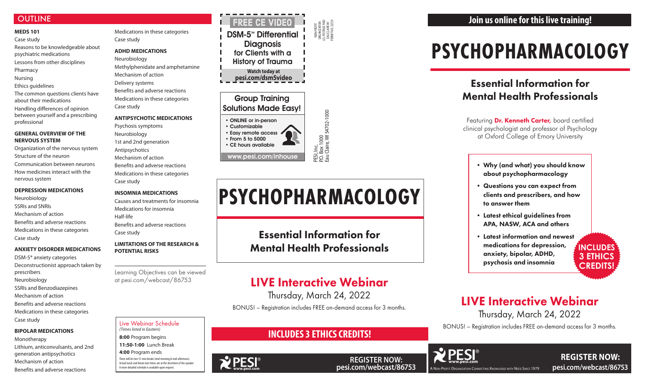# **OUTLINE**

### **MEDS 101** Case study

Reasons to be knowledgeable about psychiatric medications

Lessons from other disciplines

Pharmacy

Nursing

Ethics guidelines

The common questions clients have about their medications

Handling differences of opinion between yourself and a prescribing professional

# **GENERAL OVERVIEW OF THE NERVOUS SYSTEM**

Organization of the nervous system Structure of the neuron Communication between neurons How medicines interact with the nervous system

# **DEPRESSION MEDICATIONS**

Neurobiology SSRIs and SNRIs Mechanism of action Benefits and adverse reactions Medications in these categories Case study

# **ANXIETY DISORDER MEDICATIONS**

DSM-5® anxiety categories Deconstructionist approach taken by prescribers Neurobiology SSRIs and Benzodiazepines Mechanism of action Benefits and adverse reactions Medications in these categories Case study

# **BIPOLAR MEDICATIONS**

Monotherapy Lithium, anticonvulsants, and 2nd generation antipsychotics Mechanism of action Benefits and adverse reactions

• Easy remote access • From 5 to 5000 • CE hours available www.pesi.com/inhouse

Medications in these categories Case study

# **ADHD MEDICATIONS**

Neurobiology Methylphenidate and amphetamine Mechanism of action Delivery systems Benefits and adverse reactions Medications in these categories Case study

# **ANTIPSYCHOTIC MEDICATIONS**

Psychosis symptoms Neurobiology 1st and 2nd generation Antipsychotics Mechanism of action Benefits and adverse reactions Medications in these categories Case study

Featuring **Dr. Kenneth Carter,** board certified clinical psychologist and professor of Psychology at Oxford College of Emory University

# **INSOMNIA MEDICATIONS**

**REGISTER NOW: pesi.com/webcast/86753**

Causes and treatments for insomnia Medications for insomnia Half-life Benefits and adverse reactions Case study

## **LIMITATIONS OF THE RESEARCH & POTENTIAL RISKS**

**DSM-5<sup>™</sup> Differential Diagnosis** for Clients with a History of Trauma **Watch today at pesi.com/dsm5video** FREE CE Video

Learning Objectives can be viewed at pesi.com/webcast/86753

# **PSYCHOPHARMACOLOGY**

# Essential Information for Mental Health Professionals

#### NON-PROFIT ORGANIZATION U.S. POSTAGE PAID EAU CLAIRE WI PERMIT NO. 32729

P.O. Box 1000

Eau Claire, WI 54702-1000

# Group Training Solutions Made Easy!

• ONLINE or in-person • Customizable

**WPESI** 

#### Live Webinar Schedule *(Times listed in Eastern)*

**8:00** Program begins

**11:50-1:00** Lunch Break

**4:00** Program ends

There will be two 15-min breaks (mid-morning & mid-afternoon). Actual lunch and break start times are at the discretion of the speaker. A more detailed schedule is available upon request.

- Why (and what) you should know about psychopharmacology
- Questions you can expect from clients and prescribers, and how to answer them
- Latest ethical guidelines from APA, NASW, ACA and others
- Latest information and newest medications for depression, anxiety, bipolar, ADHD, psychosis and insomnia

**REGISTER NOW:** 



# LIVE Interactive Webinar

Thursday, March 24, 2022

BONUS! – Registration includes FREE on-demand access for 3 months.



# **INCLUDES 3 ETHICS CREDITS!**

# **PSYCHOPHARMACOLOGY**

PESI, Inc.<br>P.O. Box 1000<br>Eau Claire, Wl 54702-1000

Essential Information for Mental Health Professionals

# LIVE Interactive Webinar

Thursday, March 24, 2022

BONUS! – Registration includes FREE on-demand access for 3 months.